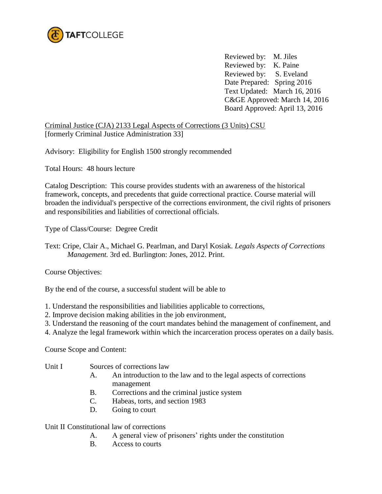

 Reviewed by: M. Jiles Reviewed by: K. Paine Reviewed by: S. Eveland Date Prepared: Spring 2016 Text Updated: March 16, 2016 C&GE Approved: March 14, 2016 Board Approved: April 13, 2016

Criminal Justice (CJA) 2133 Legal Aspects of Corrections (3 Units) CSU [formerly Criminal Justice Administration 33]

Advisory: Eligibility for English 1500 strongly recommended

Total Hours: 48 hours lecture

Catalog Description: This course provides students with an awareness of the historical framework, concepts, and precedents that guide correctional practice. Course material will broaden the individual's perspective of the corrections environment, the civil rights of prisoners and responsibilities and liabilities of correctional officials.

Type of Class/Course: Degree Credit

Text: Cripe, Clair A., Michael G. Pearlman, and Daryl Kosiak. *Legals Aspects of Corrections Management.* 3rd ed. Burlington: Jones, 2012. Print.

Course Objectives:

By the end of the course, a successful student will be able to

- 1. Understand the responsibilities and liabilities applicable to corrections,
- 2. Improve decision making abilities in the job environment,
- 3. Understand the reasoning of the court mandates behind the management of confinement, and
- 4. Analyze the legal framework within which the incarceration process operates on a daily basis.

Course Scope and Content:

- Unit I Sources of corrections law
	- A. An introduction to the law and to the legal aspects of corrections management
	- B. Corrections and the criminal justice system
	- C. Habeas, torts, and section 1983
	- D. Going to court

Unit II Constitutional law of corrections

- A. A general view of prisoners' rights under the constitution
- B. Access to courts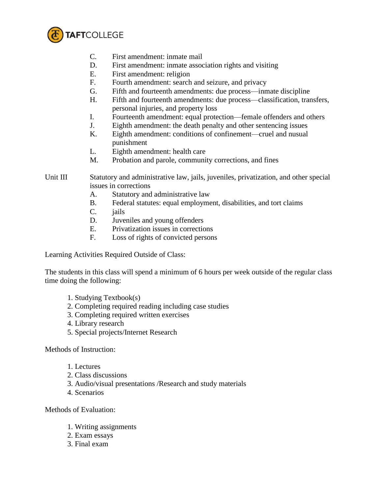

- C. First amendment: inmate mail
- D. First amendment: inmate association rights and visiting
- E. First amendment: religion
- F. Fourth amendment: search and seizure, and privacy
- G. Fifth and fourteenth amendments: due process—inmate discipline
- H. Fifth and fourteenth amendments: due process—classification, transfers, personal injuries, and property loss
- I. Fourteenth amendment: equal protection—female offenders and others
- J. Eighth amendment: the death penalty and other sentencing issues
- K. Eighth amendment: conditions of confinement—cruel and nusual punishment
- L. Eighth amendment: health care
- M. Probation and parole, community corrections, and fines

## Unit III Statutory and administrative law, jails, juveniles, privatization, and other special issues in corrections

- A. Statutory and administrative law
- B. Federal statutes: equal employment, disabilities, and tort claims
- C. jails
- D. Juveniles and young offenders
- E. Privatization issues in corrections
- F. Loss of rights of convicted persons

Learning Activities Required Outside of Class:

The students in this class will spend a minimum of 6 hours per week outside of the regular class time doing the following:

- 1. Studying Textbook(s)
- 2. Completing required reading including case studies
- 3. Completing required written exercises
- 4. Library research
- 5. Special projects/Internet Research

## Methods of Instruction:

- 1. Lectures
- 2. Class discussions
- 3. Audio/visual presentations /Research and study materials
- 4. Scenarios

Methods of Evaluation:

- 1. Writing assignments
- 2. Exam essays
- 3. Final exam